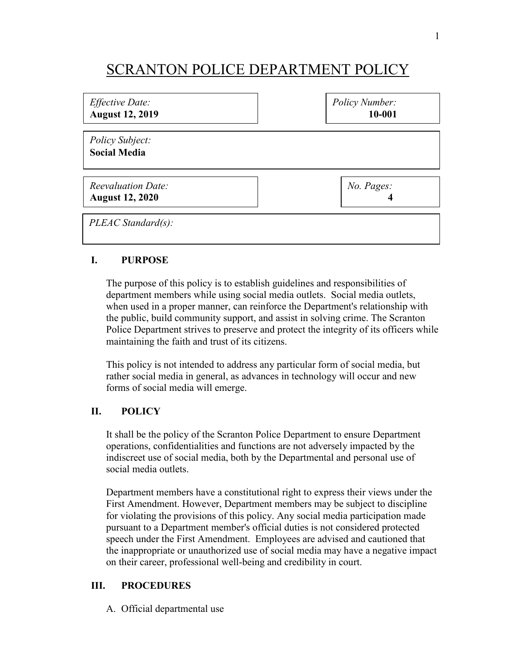## SCRANTON POLICE DEPARTMENT POLICY

| <i>Effective Date:</i>                 | Policy Number: |
|----------------------------------------|----------------|
| <b>August 12, 2019</b>                 | 10-001         |
| Policy Subject:<br><b>Social Media</b> |                |
| <b>Reevaluation Date:</b>              | No. Pages:     |
| <b>August 12, 2020</b>                 | 4              |
| $PLEAC Standard(s)$ :                  |                |

## **I. PURPOSE**

The purpose of this policy is to establish guidelines and responsibilities of department members while using social media outlets. Social media outlets, when used in a proper manner, can reinforce the Department's relationship with the public, build community support, and assist in solving crime. The Scranton Police Department strives to preserve and protect the integrity of its officers while maintaining the faith and trust of its citizens.

This policy is not intended to address any particular form of social media, but rather social media in general, as advances in technology will occur and new forms of social media will emerge.

## **II. POLICY**

It shall be the policy of the Scranton Police Department to ensure Department operations, confidentialities and functions are not adversely impacted by the indiscreet use of social media, both by the Departmental and personal use of social media outlets.

Department members have a constitutional right to express their views under the First Amendment. However, Department members may be subject to discipline for violating the provisions of this policy. Any social media participation made pursuant to a Department member's official duties is not considered protected speech under the First Amendment. Employees are advised and cautioned that the inappropriate or unauthorized use of social media may have a negative impact on their career, professional well-being and credibility in court.

## **III. PROCEDURES**

A. Official departmental use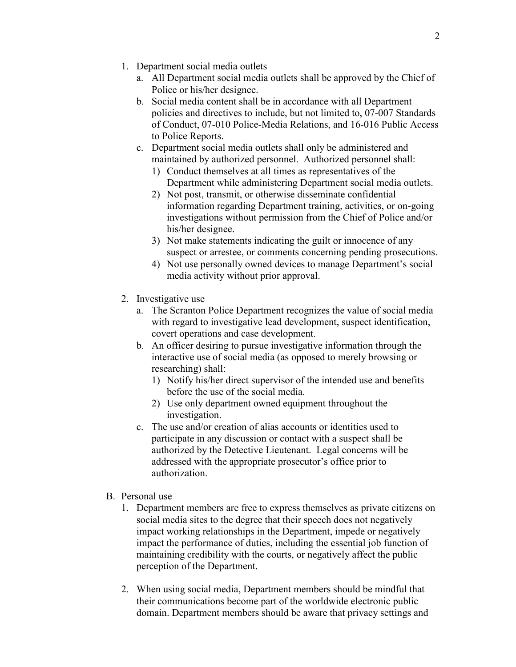- 1. Department social media outlets
	- a. All Department social media outlets shall be approved by the Chief of Police or his/her designee.
	- b. Social media content shall be in accordance with all Department policies and directives to include, but not limited to, 07-007 Standards of Conduct, 07-010 Police-Media Relations, and 16-016 Public Access to Police Reports.
	- c. Department social media outlets shall only be administered and maintained by authorized personnel. Authorized personnel shall:
		- 1) Conduct themselves at all times as representatives of the Department while administering Department social media outlets.
		- 2) Not post, transmit, or otherwise disseminate confidential information regarding Department training, activities, or on-going investigations without permission from the Chief of Police and/or his/her designee.
		- 3) Not make statements indicating the guilt or innocence of any suspect or arrestee, or comments concerning pending prosecutions.
		- 4) Not use personally owned devices to manage Department's social media activity without prior approval.
- 2. Investigative use
	- a. The Scranton Police Department recognizes the value of social media with regard to investigative lead development, suspect identification, covert operations and case development.
	- b. An officer desiring to pursue investigative information through the interactive use of social media (as opposed to merely browsing or researching) shall:
		- 1) Notify his/her direct supervisor of the intended use and benefits before the use of the social media.
		- 2) Use only department owned equipment throughout the investigation.
	- c. The use and/or creation of alias accounts or identities used to participate in any discussion or contact with a suspect shall be authorized by the Detective Lieutenant. Legal concerns will be addressed with the appropriate prosecutor's office prior to authorization.
- B. Personal use
	- 1. Department members are free to express themselves as private citizens on social media sites to the degree that their speech does not negatively impact working relationships in the Department, impede or negatively impact the performance of duties, including the essential job function of maintaining credibility with the courts, or negatively affect the public perception of the Department.
	- 2. When using social media, Department members should be mindful that their communications become part of the worldwide electronic public domain. Department members should be aware that privacy settings and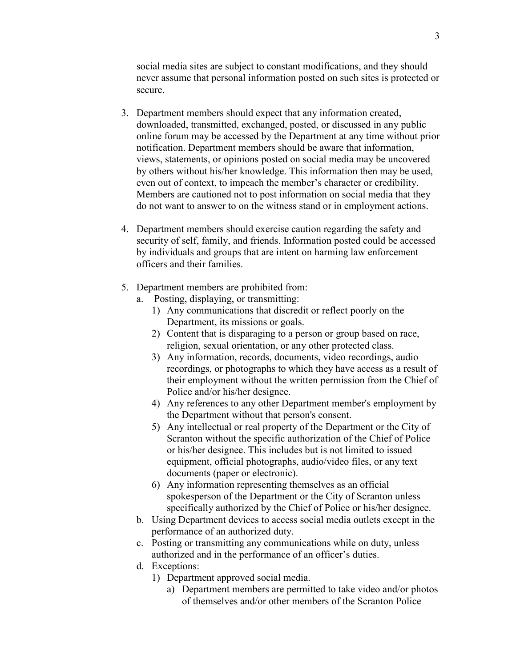social media sites are subject to constant modifications, and they should never assume that personal information posted on such sites is protected or secure.

- 3. Department members should expect that any information created, downloaded, transmitted, exchanged, posted, or discussed in any public online forum may be accessed by the Department at any time without prior notification. Department members should be aware that information, views, statements, or opinions posted on social media may be uncovered by others without his/her knowledge. This information then may be used, even out of context, to impeach the member's character or credibility. Members are cautioned not to post information on social media that they do not want to answer to on the witness stand or in employment actions.
- 4. Department members should exercise caution regarding the safety and security of self, family, and friends. Information posted could be accessed by individuals and groups that are intent on harming law enforcement officers and their families.
- 5. Department members are prohibited from:
	- a. Posting, displaying, or transmitting:
		- 1) Any communications that discredit or reflect poorly on the Department, its missions or goals.
		- 2) Content that is disparaging to a person or group based on race, religion, sexual orientation, or any other protected class.
		- 3) Any information, records, documents, video recordings, audio recordings, or photographs to which they have access as a result of their employment without the written permission from the Chief of Police and/or his/her designee.
		- 4) Any references to any other Department member's employment by the Department without that person's consent.
		- 5) Any intellectual or real property of the Department or the City of Scranton without the specific authorization of the Chief of Police or his/her designee. This includes but is not limited to issued equipment, official photographs, audio/video files, or any text documents (paper or electronic).
		- 6) Any information representing themselves as an official spokesperson of the Department or the City of Scranton unless specifically authorized by the Chief of Police or his/her designee.
	- b. Using Department devices to access social media outlets except in the performance of an authorized duty.
	- c. Posting or transmitting any communications while on duty, unless authorized and in the performance of an officer's duties.
	- d. Exceptions:
		- 1) Department approved social media.
			- a) Department members are permitted to take video and/or photos of themselves and/or other members of the Scranton Police